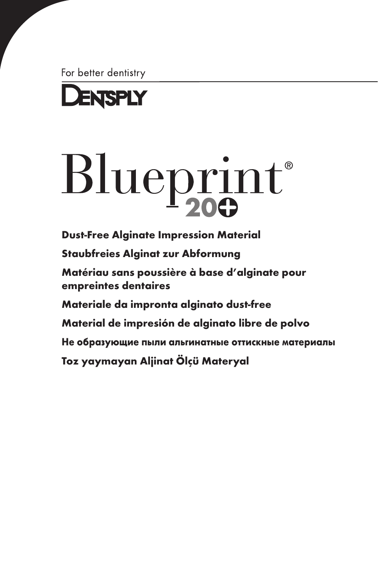For better dentistry



# Blueprint®

[Dust-Free Alginate Impression Material](#page-2-0) [Staubfreies Alginat zur Abformung](#page-7-0) [Matériau sans poussière à base d'alginate pour](#page-12-0)  empreintes dentaires [Materiale da impronta alginato dust-free](#page-17-0) [Material de impresión de alginato libre de polvo](#page-22-0) [Не образующие пыли альгинатные оттискные материалы](#page-27-0) [Toz yaymayan Aljinat Ölçü Materyal](#page-32-0)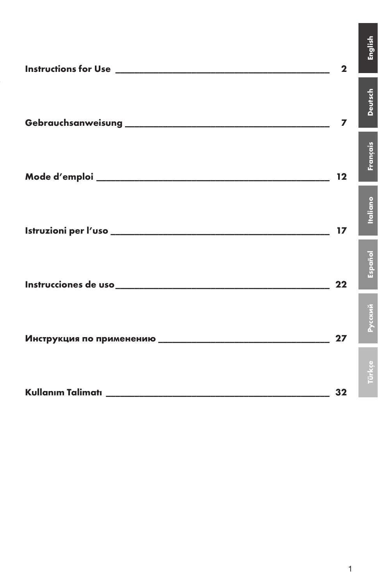| $\mathbf{2}$   | inglis          |
|----------------|-----------------|
| $\overline{ }$ | <b>Deutsch</b>  |
| $12 \,$        | Français        |
| 17             | <b>Italiano</b> |
| $22 \,$        | Español         |
| 27             | Русский         |
|                |                 |
| 32             |                 |

English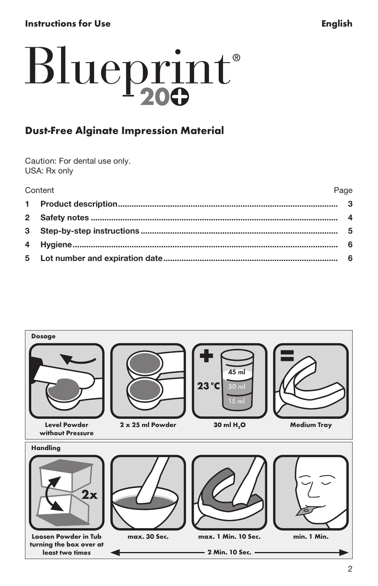# <span id="page-2-0"></span>Instructions for Use **English**

# Blueprint®

# Dust-Free Alginate Impression Material

Caution: For dental use only. USA: Rx only

| Content |  |
|---------|--|
|         |  |

| Content | Page |
|---------|------|
|         |      |
|         |      |
|         |      |
|         |      |
|         |      |

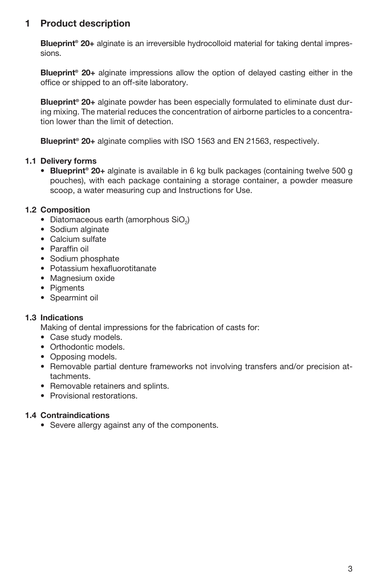# 1 Product description

Blueprint<sup>®</sup> 20+ alginate is an irreversible hydrocolloid material for taking dental impressions.

Blueprint® 20+ alginate impressions allow the option of delayed casting either in the office or shipped to an off-site laboratory.

Blueprint<sup>®</sup> 20+ alginate powder has been especially formulated to eliminate dust during mixing. The material reduces the concentration of airborne particles to a concentration lower than the limit of detection.

Blueprint® 20+ alginate complies with ISO 1563 and EN 21563, respectively.

#### 1.1 Delivery forms

• Blueprint<sup>®</sup> 20+ alginate is available in 6 kg bulk packages (containing twelve 500 g pouches), with each package containing a storage container, a powder measure scoop, a water measuring cup and Instructions for Use.

#### 1.2 Composition

- Diatomaceous earth (amorphous SiO<sub>2</sub>)
- Sodium alginate
- Calcium sulfate
- Paraffin oil
- Sodium phosphate
- Potassium hexafluorotitanate
- Magnesium oxide
- Piaments
- Spearmint oil

#### 1.3 Indications

Making of dental impressions for the fabrication of casts for:

- Case study models.
- Orthodontic models.
- Opposing models.
- Removable partial denture frameworks not involving transfers and/or precision attachments.
- Removable retainers and splints.
- Provisional restorations.

#### 1.4 Contraindications

• Severe allergy against any of the components.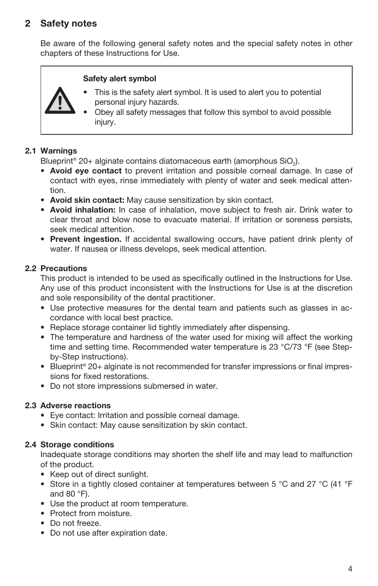# 2 Safety notes

Be aware of the following general safety notes and the special safety notes in other chapters of these Instructions for Use.

#### Safety alert symbol

- This is the safety alert symbol. It is used to alert you to potential personal injury hazards.
- Obey all safety messages that follow this symbol to avoid possible injury.

#### 2.1 Warnings

Blueprint<sup>®</sup> 20+ alginate contains diatomaceous earth (amorphous SiO<sub>2</sub>).

- Avoid eye contact to prevent irritation and possible corneal damage. In case of contact with eyes, rinse immediately with plenty of water and seek medical attention.
- Avoid skin contact: May cause sensitization by skin contact.
- Avoid inhalation: In case of inhalation, move subject to fresh air. Drink water to clear throat and blow nose to evacuate material. If irritation or soreness persists, seek medical attention.
- Prevent ingestion. If accidental swallowing occurs, have patient drink plenty of water. If nausea or illness develops, seek medical attention.

#### 2.2 Precautions

This product is intended to be used as specifically outlined in the Instructions for Use. Any use of this product inconsistent with the Instructions for Use is at the discretion and sole responsibility of the dental practitioner.

- Use protective measures for the dental team and patients such as glasses in accordance with local best practice.
- Replace storage container lid tightly immediately after dispensing.
- The temperature and hardness of the water used for mixing will affect the working time and setting time. Recommended water temperature is 23 °C/73 °F (see Stepby-Step instructions).
- Blueprint® 20+ alginate is not recommended for transfer impressions or final impressions for fixed restorations.
- Do not store impressions submersed in water.

#### 2.3 Adverse reactions

- Eye contact: Irritation and possible corneal damage.
- Skin contact: May cause sensitization by skin contact.

#### 2.4 Storage conditions

Inadequate storage conditions may shorten the shelf life and may lead to malfunction of the product.

- Keep out of direct sunlight.
- Store in a tightly closed container at temperatures between 5 °C and 27 °C (41 °F and 80 °F).
- Use the product at room temperature.
- Protect from moisture.
- Do not freeze.
- Do not use after expiration date.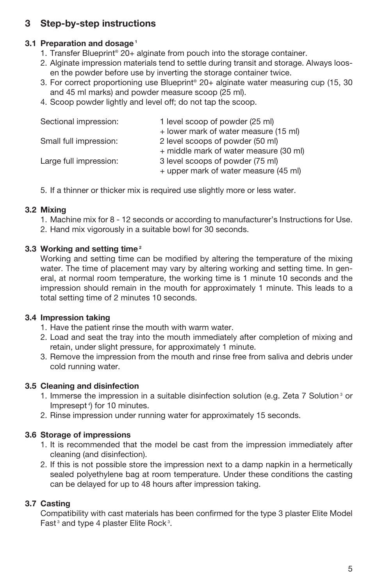# 3 Step-by-step instructions

#### 3.1 Preparation and dosage<sup>1</sup>

- 1. Transfer Blueprint® 20+ alginate from pouch into the storage container.
- 2. Alginate impression materials tend to settle during transit and storage. Always loosen the powder before use by inverting the storage container twice.
- 3. For correct proportioning use Blueprint® 20+ alginate water measuring cup (15, 30 and 45 ml marks) and powder measure scoop (25 ml).
- 4. Scoop powder lightly and level off; do not tap the scoop.

| Sectional impression:  | 1 level scoop of powder (25 ml)<br>+ lower mark of water measure (15 ml)   |
|------------------------|----------------------------------------------------------------------------|
| Small full impression: | 2 level scoops of powder (50 ml)<br>+ middle mark of water measure (30 ml) |
| Large full impression: | 3 level scoops of powder (75 ml)<br>+ upper mark of water measure (45 ml)  |

5. If a thinner or thicker mix is required use slightly more or less water.

#### 3.2 Mixing

- 1. Machine mix for 8 12 seconds or according to manufacturer's Instructions for Use.
- 2. Hand mix vigorously in a suitable bowl for 30 seconds.

#### 3.3 Working and setting time<sup>2</sup>

Working and setting time can be modified by altering the temperature of the mixing water. The time of placement may vary by altering working and setting time. In general, at normal room temperature, the working time is 1 minute 10 seconds and the impression should remain in the mouth for approximately 1 minute. This leads to a total setting time of 2 minutes 10 seconds.

#### 3.4 Impression taking

- 1. Have the patient rinse the mouth with warm water.
- 2. Load and seat the tray into the mouth immediately after completion of mixing and retain, under slight pressure, for approximately 1 minute.
- 3. Remove the impression from the mouth and rinse free from saliva and debris under cold running water.

#### 3.5 Cleaning and disinfection

- 1. Immerse the impression in a suitable disinfection solution (e.g. Zeta 7 Solution 3 or Impresept 4) for 10 minutes.
- 2. Rinse impression under running water for approximately 15 seconds.

#### 3.6 Storage of impressions

- 1. It is recommended that the model be cast from the impression immediately after cleaning (and disinfection).
- 2. If this is not possible store the impression next to a damp napkin in a hermetically sealed polyethylene bag at room temperature. Under these conditions the casting can be delayed for up to 48 hours after impression taking.

#### 3.7 Casting

Compatibility with cast materials has been confirmed for the type 3 plaster Elite Model Fast<sup>3</sup> and type 4 plaster Elite Rock<sup>3</sup>.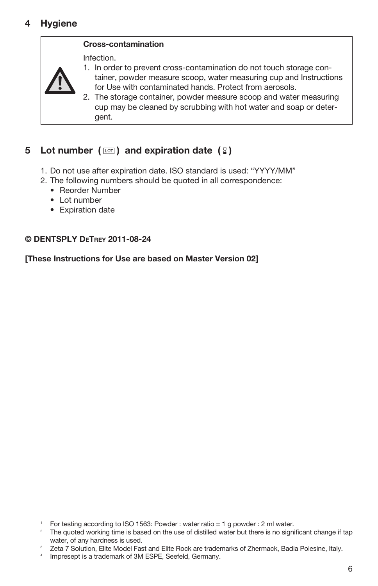# 4 Hygiene

#### Cross-contamination

Infection.



1. In order to prevent cross-contamination do not touch storage container, powder measure scoop, water measuring cup and Instructions for Use with contaminated hands. Protect from aerosols.

2. The storage container, powder measure scoop and water measuring cup may be cleaned by scrubbing with hot water and soap or detergent.

# 5 Lot number ( $\oslash$ ) and expiration date ( $\oslash$ )

- 1. Do not use after expiration date. ISO standard is used: "YYYY/MM"
- 2. The following numbers should be quoted in all correspondence:
	- Reorder Number
	- Lot number
	- Expiration date

#### © DENTSPLY DeTrey 2011-08-24

[These Instructions for Use are based on Master Version 02]

<sup>1</sup> For testing according to ISO 1563: Powder : water ratio = 1 g powder : 2 ml water.

<sup>&</sup>lt;sup>2</sup> The quoted working time is based on the use of distilled water but there is no significant change if tap water, of any hardness is used.

<sup>&</sup>lt;sup>3</sup> Zeta 7 Solution, Elite Model Fast and Elite Rock are trademarks of Zhermack, Badia Polesine, Italy.

<sup>4</sup> Impresept is a trademark of 3M ESPE, Seefeld, Germany.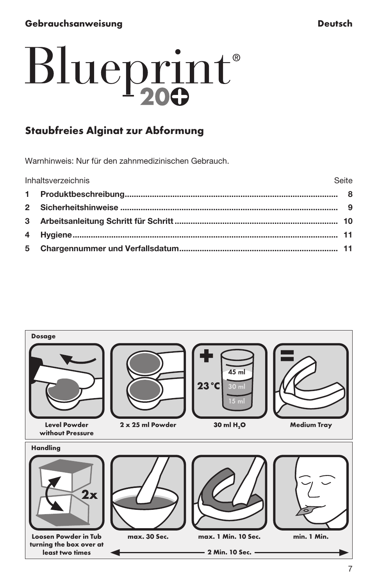# <span id="page-7-0"></span>Gebrauchsanweisung Deutsch

# Blueprint®

# Staubfreies Alginat zur Abformung

Warnhinweis: Nur für den zahnmedizinischen Gebrauch.

| Inhaltsverzeichnis | Seite |
|--------------------|-------|
|                    |       |
|                    |       |
|                    |       |
|                    |       |
|                    |       |

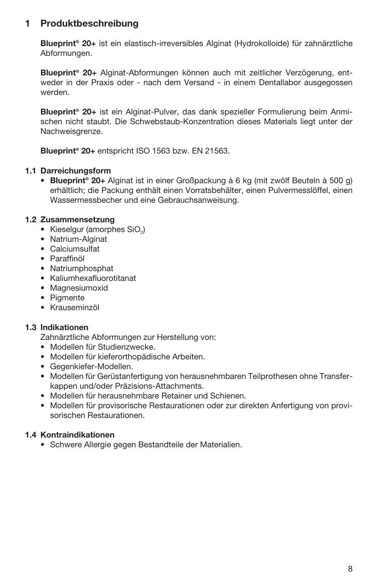# 1 Produktbeschreibung

Blueprint® 20+ ist ein elastisch-irreversibles Alginat (Hydrokolloide) für zahnärztliche Abformungen.

Blueprint® 20+ Alginat-Abformungen können auch mit zeitlicher Verzögerung, entweder in der Praxis oder - nach dem Versand - in einem Dentallabor ausgegossen werden.

Blueprint® 20+ ist ein Alginat-Pulver, das dank spezieller Formulierung beim Anmischen nicht staubt. Die Schwebstaub-Konzentration dieses Materials liegt unter der Nachweisgrenze.

Blueprint® 20+ entspricht ISO 1563 bzw. EN 21563.

#### 1.1 Darreichungsform

• Blueprint® 20+ Alginat ist in einer Großpackung à 6 kg (mit zwölf Beuteln à 500 g) erhältlich; die Packung enthält einen Vorratsbehälter, einen Pulvermesslöffel, einen Wassermessbecher und eine Gebrauchsanweisung.

#### 1.2 Zusammensetzung

- Kieselgur (amorphes SiO<sub>2</sub>)
- Natrium-Alginat
- Calciumsulfat
- Paraffinöl
- Natriumphosphat
- Kaliumhexafluorotitanat
- Magnesiumoxid
- Pigmente
- Krauseminzöl

#### 1.3 Indikationen

Zahnärztliche Abformungen zur Herstellung von:

- Modellen für Studienzwecke.
- Modellen für kieferorthopädische Arbeiten.
- Gegenkiefer-Modellen.
- Modellen für Gerüstanfertigung von herausnehmbaren Teilprothesen ohne Transferkappen und/oder Präzisions-Attachments.
- Modellen für herausnehmbare Retainer und Schienen.
- Modellen für provisorische Restaurationen oder zur direkten Anfertigung von provisorischen Restaurationen.

#### 1.4 Kontraindikationen

• Schwere Allergie gegen Bestandteile der Materialien.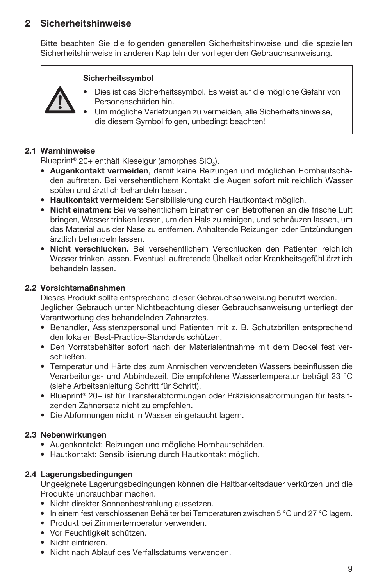# 2 Sicherheitshinweise

Bitte beachten Sie die folgenden generellen Sicherheitshinweise und die speziellen Sicherheitshinweise in anderen Kapiteln der vorliegenden Gebrauchsanweisung.

#### Sicherheitssymbol

- Dies ist das Sicherheitssymbol. Es weist auf die mögliche Gefahr von Personenschäden hin.
	- Um mögliche Verletzungen zu vermeiden, alle Sicherheitshinweise, die diesem Symbol folgen, unbedingt beachten!

#### 2.1 Warnhinweise

Blueprint® 20+ enthält Kieselgur (amorphes SiO.).

- Augenkontakt vermeiden, damit keine Reizungen und möglichen Hornhautschäden auftreten. Bei versehentlichem Kontakt die Augen sofort mit reichlich Wasser spülen und ärztlich behandeln lassen.
- Hautkontakt vermeiden: Sensibilisierung durch Hautkontakt möglich.
- Nicht einatmen: Bei versehentlichem Einatmen den Betroffenen an die frische Luft bringen, Wasser trinken lassen, um den Hals zu reinigen, und schnäuzen lassen, um das Material aus der Nase zu entfernen. Anhaltende Reizungen oder Entzündungen ärztlich behandeln lassen.
- Nicht verschlucken. Bei versehentlichem Verschlucken den Patienten reichlich Wasser trinken lassen. Eventuell auftretende Übelkeit oder Krankheitsgefühl ärztlich behandeln lassen.

#### 2.2 Vorsichtsmaßnahmen

Dieses Produkt sollte entsprechend dieser Gebrauchsanweisung benutzt werden. Jeglicher Gebrauch unter Nichtbeachtung dieser Gebrauchsanweisung unterliegt der Verantwortung des behandelnden Zahnarztes.

- Behandler, Assistenzpersonal und Patienten mit z. B. Schutzbrillen entsprechend den lokalen Best-Practice-Standards schützen.
- Den Vorratsbehälter sofort nach der Materialentnahme mit dem Deckel fest verschließen.
- Temperatur und Härte des zum Anmischen verwendeten Wassers beeinflussen die Verarbeitungs- und Abbindezeit. Die empfohlene Wassertemperatur beträgt 23 °C (siehe Arbeitsanleitung Schritt für Schritt).
- Blueprint® 20+ ist für Transferabformungen oder Präzisionsabformungen für festsitzenden Zahnersatz nicht zu empfehlen.
- Die Abformungen nicht in Wasser eingetaucht lagern.

#### 2.3 Nebenwirkungen

- Augenkontakt: Reizungen und mögliche Hornhautschäden.
- Hautkontakt: Sensibilisierung durch Hautkontakt möglich.

#### 2.4 Lagerungsbedingungen

Ungeeignete Lagerungsbedingungen können die Haltbarkeitsdauer verkürzen und die Produkte unbrauchbar machen.

- Nicht direkter Sonnenbestrahlung aussetzen.
- In einem fest verschlossenen Behälter bei Temperaturen zwischen 5 °C und 27 °C lagern.
- Produkt bei Zimmertemperatur verwenden.
- Vor Feuchtigkeit schützen.
- Nicht einfrieren.
- Nicht nach Ablauf des Verfallsdatums verwenden.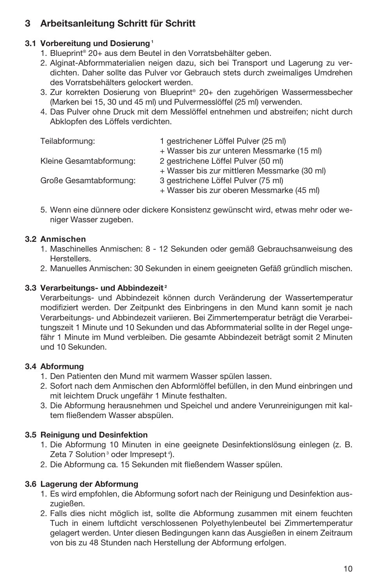# 3 Arbeitsanleitung Schritt für Schritt

# 3.1 Vorbereitung und Dosierung<sup>1</sup>

- 1. Blueprint® 20+ aus dem Beutel in den Vorratsbehälter geben.
- 2. Alginat-Abformmaterialien neigen dazu, sich bei Transport und Lagerung zu verdichten. Daher sollte das Pulver vor Gebrauch stets durch zweimaliges Umdrehen des Vorratsbehälters gelockert werden.
- 3. Zur korrekten Dosierung von Blueprint® 20+ den zugehörigen Wassermessbecher (Marken bei 15, 30 und 45 ml) und Pulvermesslöffel (25 ml) verwenden.
- 4. Das Pulver ohne Druck mit dem Messlöffel entnehmen und abstreifen; nicht durch Abklopfen des Löffels verdichten.

| Teilabformung:          | 1 gestrichener Löffel Pulver (25 ml)<br>+ Wasser bis zur unteren Messmarke (15 ml) |
|-------------------------|------------------------------------------------------------------------------------|
| Kleine Gesamtabformung: | 2 gestrichene Löffel Pulver (50 ml)                                                |
|                         | + Wasser bis zur mittleren Messmarke (30 ml)                                       |
| Große Gesamtabformung:  | 3 gestrichene Löffel Pulver (75 ml)                                                |
|                         | + Wasser bis zur oberen Messmarke (45 ml)                                          |

5. Wenn eine dünnere oder dickere Konsistenz gewünscht wird, etwas mehr oder weniger Wasser zugeben.

# 3.2 Anmischen

- 1. Maschinelles Anmischen: 8 12 Sekunden oder gemäß Gebrauchsanweisung des Herstellers.
- 2. Manuelles Anmischen: 30 Sekunden in einem geeigneten Gefäß gründlich mischen.

# 3.3 Verarbeitungs- und Abbindezeit<sup>2</sup>

Verarbeitungs- und Abbindezeit können durch Veränderung der Wassertemperatur modifiziert werden. Der Zeitpunkt des Einbringens in den Mund kann somit je nach Verarbeitungs- und Abbindezeit variieren. Bei Zimmertemperatur beträgt die Verarbeitungszeit 1 Minute und 10 Sekunden und das Abformmaterial sollte in der Regel ungefähr 1 Minute im Mund verbleiben. Die gesamte Abbindezeit beträgt somit 2 Minuten und 10 Sekunden.

# 3.4 Abformung

- 1. Den Patienten den Mund mit warmem Wasser spülen lassen.
- 2. Sofort nach dem Anmischen den Abformlöffel befüllen, in den Mund einbringen und mit leichtem Druck ungefähr 1 Minute festhalten.
- 3. Die Abformung herausnehmen und Speichel und andere Verunreinigungen mit kaltem fließendem Wasser abspülen.

# 3.5 Reinigung und Desinfektion

- 1. Die Abformung 10 Minuten in eine geeignete Desinfektionslösung einlegen (z. B. Zeta 7 Solution<sup>3</sup> oder Impresept<sup>4</sup>).
- 2. Die Abformung ca. 15 Sekunden mit fließendem Wasser spülen.

# 3.6 Lagerung der Abformung

- 1. Es wird empfohlen, die Abformung sofort nach der Reinigung und Desinfektion auszugießen.
- 2. Falls dies nicht möglich ist, sollte die Abformung zusammen mit einem feuchten Tuch in einem luftdicht verschlossenen Polyethylenbeutel bei Zimmertemperatur gelagert werden. Unter diesen Bedingungen kann das Ausgießen in einem Zeitraum von bis zu 48 Stunden nach Herstellung der Abformung erfolgen.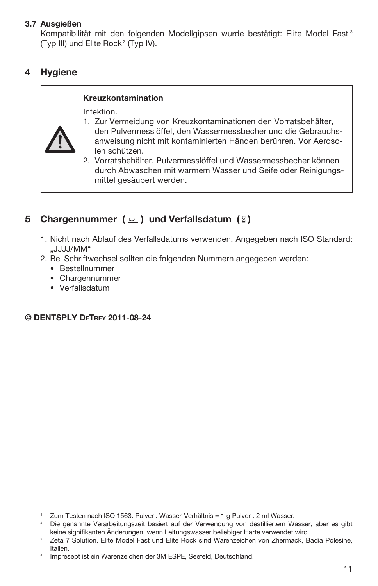#### 3.7 Ausgießen

Kompatibilität mit den folgenden Modellgipsen wurde bestätigt: Elite Model Fast<sup>3</sup> (Typ III) und Elite Rock 3 (Typ IV).

# 4 Hygiene

#### Kreuzkontamination

Infektion.



- 1. Zur Vermeidung von Kreuzkontaminationen den Vorratsbehälter, den Pulvermesslöffel, den Wassermessbecher und die Gebrauchsanweisung nicht mit kontaminierten Händen berühren. Vor Aerosolen schützen.
- 2. Vorratsbehälter, Pulvermesslöffel und Wassermessbecher können durch Abwaschen mit warmem Wasser und Seife oder Reinigungsmittel gesäubert werden.

# 5 Chargennummer  $(\Box)$  und Verfallsdatum  $(2)$

- 1. Nicht nach Ablauf des Verfallsdatums verwenden. Angegeben nach ISO Standard: "JJJJ/MM"
- 2. Bei Schriftwechsel sollten die folgenden Nummern angegeben werden:
	- Bestellnummer
	- Chargennummer
	- Verfallsdatum

### © DENTSPLY DeTrey 2011-08-24

<sup>1</sup> Zum Testen nach ISO 1563: Pulver : Wasser-Verhältnis = 1 g Pulver : 2 ml Wasser.

<sup>2</sup> Die genannte Verarbeitungszeit basiert auf der Verwendung von destilliertem Wasser; aber es gibt keine signifikanten Änderungen, wenn Leitungswasser beliebiger Härte verwendet wird.

Zeta 7 Solution, Elite Model Fast und Elite Rock sind Warenzeichen von Zhermack, Badia Polesine, Italien.

Impresept ist ein Warenzeichen der 3M ESPE, Seefeld, Deutschland.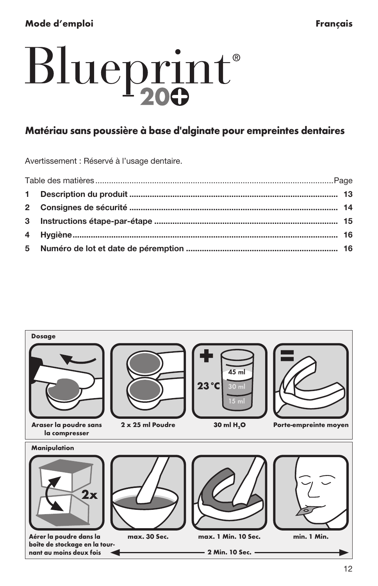# <span id="page-12-0"></span>Blueprint®

# Matériau sans poussière à base d'alginate pour empreintes dentaires

Avertissement : Réservé à l'usage dentaire.

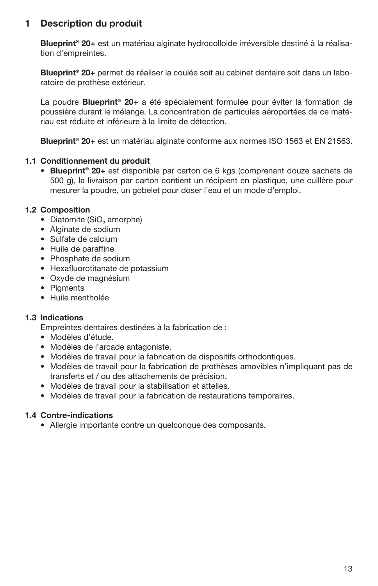# 1 Description du produit

Blueprint<sup>®</sup> 20+ est un matériau alginate hydrocolloide irréversible destiné à la réalisation d'empreintes.

Blueprint<sup>®</sup> 20+ permet de réaliser la coulée soit au cabinet dentaire soit dans un laboratoire de prothèse extérieur.

La poudre **Blueprint<sup>®</sup> 20+** a été spécialement formulée pour éviter la formation de poussière durant le mélange. La concentration de particules aéroportées de ce matériau est réduite et inférieure à la limite de détection.

Blueprint® 20+ est un matériau alginate conforme aux normes ISO 1563 et EN 21563.

#### 1.1 Conditionnement du produit

• Blueprint® 20+ est disponible par carton de 6 kgs (comprenant douze sachets de 500 g), la livraison par carton contient un récipient en plastique, une cuillère pour mesurer la poudre, un gobelet pour doser l'eau et un mode d'emploi.

#### 1.2 Composition

- Diatomite (SiO<sub>2</sub> amorphe)
- Alginate de sodium
- Sulfate de calcium
- Huile de paraffine
- Phosphate de sodium
- Hexafluorotitanate de potassium
- Oxyde de magnésium
- Piaments
- Huile mentholée

#### 1.3 Indications

Empreintes dentaires destinées à la fabrication de :

- Modèles d'étude.
- Modèles de l'arcade antagoniste.
- Modèles de travail pour la fabrication de dispositifs orthodontiques.
- Modèles de travail pour la fabrication de prothèses amovibles n'impliquant pas de transferts et / ou des attachements de précision.
- Modèles de travail pour la stabilisation et attelles.
- Modèles de travail pour la fabrication de restaurations temporaires.

#### 1.4 Contre-indications

• Allergie importante contre un quelconque des composants.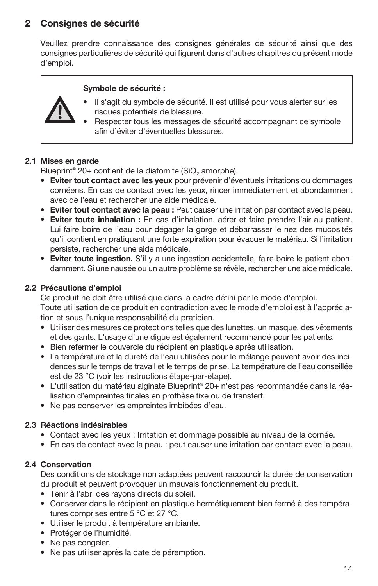# 2 Consignes de sécurité

Veuillez prendre connaissance des consignes générales de sécurité ainsi que des consignes particulières de sécurité qui figurent dans d'autres chapitres du présent mode d'emploi.

#### Symbole de sécurité :



- Il s'agit du symbole de sécurité. Il est utilisé pour vous alerter sur les risques potentiels de blessure.
- Respecter tous les messages de sécurité accompagnant ce symbole afin d'éviter d'éventuelles blessures.

#### 2.1 Mises en garde

Blueprint® 20+ contient de la diatomite (SiO<sub>2</sub> amorphe).

- • Eviter tout contact avec les yeux pour prévenir d'éventuels irritations ou dommages cornéens. En cas de contact avec les yeux, rincer immédiatement et abondamment avec de l'eau et rechercher une aide médicale.
- Eviter tout contact avec la peau : Peut causer une irritation par contact avec la peau.
- • Eviter toute inhalation : En cas d'inhalation, aérer et faire prendre l'air au patient. Lui faire boire de l'eau pour dégager la gorge et débarrasser le nez des mucosités qu'il contient en pratiquant une forte expiration pour évacuer le matériau. Si l'irritation persiste, rechercher une aide médicale.
- • Eviter toute ingestion. S'il y a une ingestion accidentelle, faire boire le patient abondamment. Si une nausée ou un autre problème se révèle, rechercher une aide médicale.

#### 2.2 Précautions d'emploi

Ce produit ne doit être utilisé que dans la cadre défini par le mode d'emploi. Toute utilisation de ce produit en contradiction avec le mode d'emploi est à l'appréciation et sous l'unique responsabilité du praticien.

- Utiliser des mesures de protections telles que des lunettes, un masque, des vêtements et des gants. L'usage d'une digue est également recommandé pour les patients.
- Bien refermer le couvercle du récipient en plastique après utilisation.
- La température et la dureté de l'eau utilisées pour le mélange peuvent avoir des incidences sur le temps de travail et le temps de prise. La température de l'eau conseillée est de 23 °C (voir les instructions étape-par-étape).
- L'utilisation du matériau alginate Blueprint® 20+ n'est pas recommandée dans la réalisation d'empreintes finales en prothèse fixe ou de transfert.
- Ne pas conserver les empreintes imbibées d'eau.

#### 2.3 Réactions indésirables

- Contact avec les yeux : Irritation et dommage possible au niveau de la cornée.
- En cas de contact avec la peau : peut causer une irritation par contact avec la peau.

#### 2.4 Conservation

Des conditions de stockage non adaptées peuvent raccourcir la durée de conservation du produit et peuvent provoquer un mauvais fonctionnement du produit.

- Tenir à l'abri des rayons directs du soleil.
- Conserver dans le récipient en plastique hermétiquement bien fermé à des températures comprises entre 5 °C et 27 °C.
- Utiliser le produit à température ambiante.
- Protéger de l'humidité.
- Ne pas congeler.
- Ne pas utiliser après la date de péremption.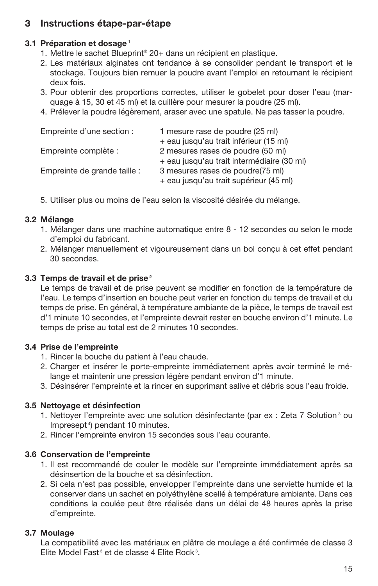# 3 Instructions étape-par-étape

### 3.1 Préparation et dosage<sup>1</sup>

- 1. Mettre le sachet Blueprint® 20+ dans un récipient en plastique.
- 2. Les matériaux alginates ont tendance à se consolider pendant le transport et le stockage. Toujours bien remuer la poudre avant l'emploi en retournant le récipient deux fois.
- 3. Pour obtenir des proportions correctes, utiliser le gobelet pour doser l'eau (marquage à 15, 30 et 45 ml) et la cuillère pour mesurer la poudre (25 ml).
- 4. Prélever la poudre légèrement, araser avec une spatule. Ne pas tasser la poudre.

| Empreinte d'une section :    | 1 mesure rase de poudre (25 ml)                                            |
|------------------------------|----------------------------------------------------------------------------|
|                              | + eau jusqu'au trait inférieur (15 ml)                                     |
| Empreinte complète :         | 2 mesures rases de poudre (50 ml)                                          |
|                              | + eau jusqu'au trait intermédiaire (30 ml)                                 |
| Empreinte de grande taille : | 3 mesures rases de poudre(75 ml)<br>+ eau jusqu'au trait supérieur (45 ml) |
|                              |                                                                            |

5. Utiliser plus ou moins de l'eau selon la viscosité désirée du mélange.

# 3.2 Mélange

- 1. Mélanger dans une machine automatique entre 8 12 secondes ou selon le mode d'emploi du fabricant.
- 2. Mélanger manuellement et vigoureusement dans un bol conçu à cet effet pendant 30 secondes.

# 3.3 Temps de travail et de prise<sup>2</sup>

Le temps de travail et de prise peuvent se modifier en fonction de la température de l'eau. Le temps d'insertion en bouche peut varier en fonction du temps de travail et du temps de prise. En général, à température ambiante de la pièce, le temps de travail est d'1 minute 10 secondes, et l'empreinte devrait rester en bouche environ d'1 minute. Le temps de prise au total est de 2 minutes 10 secondes.

# 3.4 Prise de l'empreinte

- 1. Rincer la bouche du patient à l'eau chaude.
- 2. Charger et insérer le porte-empreinte immédiatement après avoir terminé le mélange et maintenir une pression légère pendant environ d'1 minute.
- 3. Désinsérer l'empreinte et la rincer en supprimant salive et débris sous l'eau froide.

# 3.5 Nettoyage et désinfection

- 1. Nettoyer l'empreinte avec une solution désinfectante (par ex : Zeta 7 Solution<sup>3</sup> ou Impresept 4) pendant 10 minutes.
- 2. Rincer l'empreinte environ 15 secondes sous l'eau courante.

# 3.6 Conservation de l'empreinte

- 1. Il est recommandé de couler le modèle sur l'empreinte immédiatement après sa désinsertion de la bouche et sa désinfection.
- 2. Si cela n'est pas possible, envelopper l'empreinte dans une serviette humide et la conserver dans un sachet en polyéthylène scellé à température ambiante. Dans ces conditions la coulée peut être réalisée dans un délai de 48 heures après la prise d'empreinte.

# 3.7 Moulage

La compatibilité avec les matériaux en plâtre de moulage a été confirmée de classe 3 Elite Model Fast<sup>3</sup> et de classe 4 Elite Rock<sup>3</sup>.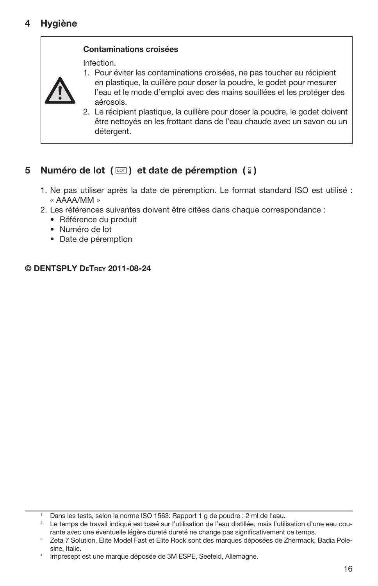

Infection.



1. Pour éviter les contaminations croisées, ne pas toucher au récipient

- en plastique, la cuillère pour doser la poudre, le godet pour mesurer l'eau et le mode d'emploi avec des mains souillées et les protéger des aérosols.
- 2. Le récipient plastique, la cuillère pour doser la poudre, le godet doivent être nettoyés en les frottant dans de l'eau chaude avec un savon ou un détergent.

# 5 Numéro de lot  $(\Box)$  et date de péremption  $(\Box)$

- 1. Ne pas utiliser après la date de péremption. Le format standard ISO est utilisé : « AAAA/MM »
- 2. Les références suivantes doivent être citées dans chaque correspondance :
	- Référence du produit
	- Numéro de lot
	- Date de péremption

© DENTSPLY DeTrey 2011-08-24

<sup>1</sup> Dans les tests, selon la norme ISO 1563: Rapport 1 g de poudre : 2 ml de l'eau.

<sup>&</sup>lt;sup>2</sup> Le temps de travail indiqué est basé sur l'utilisation de l'eau distillée, mais l'utilisation d'une eau courante avec une éventuelle légère dureté dureté ne change pas significativement ce temps.

Zeta 7 Solution, Elite Model Fast et Elite Rock sont des marques déposées de Zhermack, Badia Polesine, Italie.

Impresept est une marque déposée de 3M ESPE, Seefeld, Allemagne.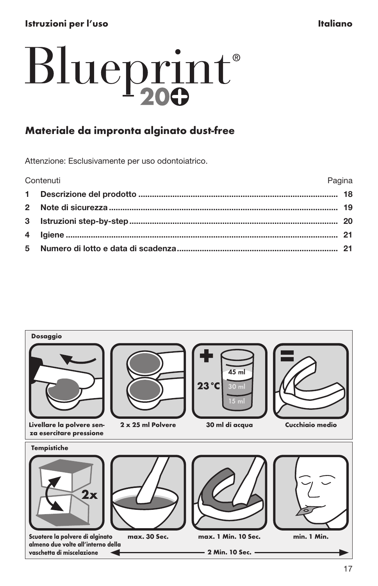# <span id="page-17-0"></span>Istruzioni per l'uso in controlle a controlle della controlle della controlle della controlle della controlle d

# Blueprint®

# Materiale da impronta alginato dust-free

Attenzione: Esclusivamente per uso odontoiatrico.

| Pagina<br>Contenuti |  |
|---------------------|--|
|                     |  |
|                     |  |
|                     |  |
|                     |  |
|                     |  |

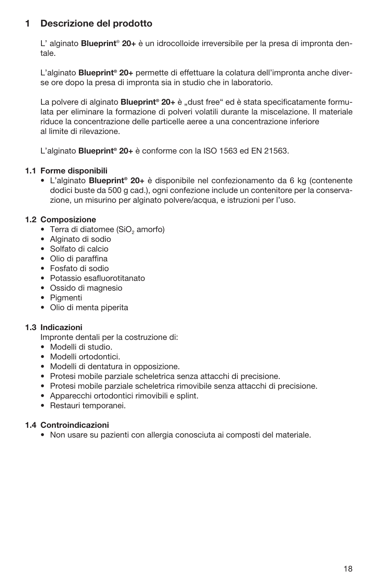# 1 Descrizione del prodotto

L' alginato **Blueprint® 20+** è un idrocolloide irreversibile per la presa di impronta dentale.

L'alginato Blueprint<sup>®</sup> 20+ permette di effettuare la colatura dell'impronta anche diverse ore dopo la presa di impronta sia in studio che in laboratorio.

La polvere di alginato **Blueprint<sup>®</sup> 20+** è "dust free" ed è stata specificatamente formulata per eliminare la formazione di polveri volatili durante la miscelazione. Il materiale riduce la concentrazione delle particelle aeree a una concentrazione inferiore al limite di rilevazione.

L'alginato **Blueprint<sup>®</sup> 20+** è conforme con la ISO 1563 ed EN 21563.

#### 1.1 Forme disponibili

• L'alginato Blueprint® 20+ è disponibile nel confezionamento da 6 kg (contenente dodici buste da 500 g cad.), ogni confezione include un contenitore per la conservazione, un misurino per alginato polvere/acqua, e istruzioni per l'uso.

#### 1.2 Composizione

- Terra di diatomee (SiO<sub>2</sub> amorfo)
- Alginato di sodio
- Solfato di calcio
- Olio di paraffina
- Fosfato di sodio
- Potassio esafluorotitanato
- Ossido di magnesio
- Pigmenti
- Olio di menta piperita

#### 1.3 Indicazioni

Impronte dentali per la costruzione di:

- Modelli di studio.
- Modelli ortodontici.
- Modelli di dentatura in opposizione.
- Protesi mobile parziale scheletrica senza attacchi di precisione.
- Protesi mobile parziale scheletrica rimovibile senza attacchi di precisione.
- Apparecchi ortodontici rimovibili e splint.
- Restauri temporanei.

#### 1.4 Controindicazioni

• Non usare su pazienti con allergia conosciuta ai composti del materiale.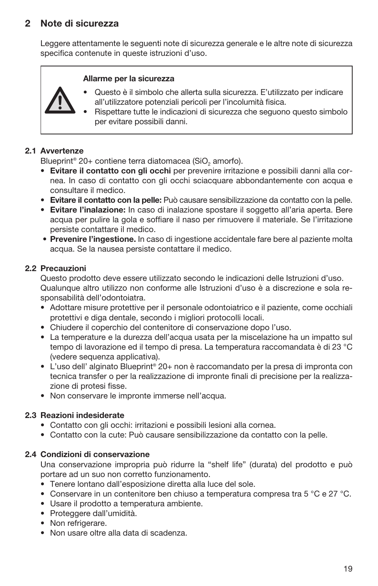# 2 Note di sicurezza

Leggere attentamente le seguenti note di sicurezza generale e le altre note di sicurezza specifica contenute in queste istruzioni d'uso.

#### Allarme per la sicurezza

- Questo è il simbolo che allerta sulla sicurezza. E'utilizzato per indicare all'utilizzatore potenziali pericoli per l'incolumità fisica.
- Rispettare tutte le indicazioni di sicurezza che seguono questo simbolo per evitare possibili danni.

#### 2.1 Avvertenze

Blueprint® 20+ contiene terra diatomacea (SiO<sub>o</sub> amorfo).

- • Evitare il contatto con gli occhi per prevenire irritazione e possibili danni alla cornea. In caso di contatto con gli occhi sciacquare abbondantemente con acqua e consultare il medico.
- Evitare il contatto con la pelle: Può causare sensibilizzazione da contatto con la pelle.
- • Evitare l'inalazione: In caso di inalazione spostare il soggetto all'aria aperta. Bere acqua per pulire la gola e soffiare il naso per rimuovere il materiale. Se l'irritazione persiste contattare il medico.
- • Prevenire l'ingestione. In caso di ingestione accidentale fare bere al paziente molta acqua. Se la nausea persiste contattare il medico.

#### 2.2 Precauzioni

Questo prodotto deve essere utilizzato secondo le indicazioni delle Istruzioni d'uso. Qualunque altro utilizzo non conforme alle Istruzioni d'uso è a discrezione e sola responsabilità dell'odontoiatra.

- Adottare misure protettive per il personale odontoiatrico e il paziente, come occhiali protettivi e diga dentale, secondo i migliori protocolli locali.
- Chiudere il coperchio del contenitore di conservazione dopo l'uso.
- La temperature e la durezza dell'acqua usata per la miscelazione ha un impatto sul tempo di lavorazione ed il tempo di presa. La temperatura raccomandata è di 23 °C (vedere sequenza applicativa).
- L'uso dell' alginato Blueprint® 20+ non è raccomandato per la presa di impronta con tecnica transfer o per la realizzazione di impronte finali di precisione per la realizzazione di protesi fisse.
- Non conservare le impronte immerse nell'acqua.

#### 2.3 Reazioni indesiderate

- Contatto con gli occhi: irritazioni e possibili lesioni alla cornea.
- Contatto con la cute: Può causare sensibilizzazione da contatto con la pelle.

#### 2.4 Condizioni di conservazione

Una conservazione impropria può ridurre la "shelf life" (durata) del prodotto e può portare ad un suo non corretto funzionamento.

- Tenere lontano dall'esposizione diretta alla luce del sole.
- Conservare in un contenitore ben chiuso a temperatura compresa tra 5 °C e 27 °C.
- Usare il prodotto a temperatura ambiente.
- Proteggere dall'umidità.
- Non refrigerare.
- Non usare oltre alla data di scadenza.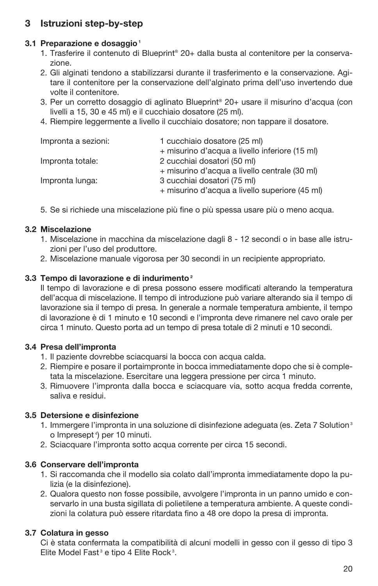# 3 Istruzioni step-by-step

### 3.1 Preparazione e dosaggio<sup>1</sup>

- 1. Trasferire il contenuto di Blueprint® 20+ dalla busta al contenitore per la conservazione.
- 2. Gli alginati tendono a stabilizzarsi durante il trasferimento e la conservazione. Agitare il contenitore per la conservazione dell'alginato prima dell'uso invertendo due volte il contenitore.
- 3. Per un corretto dosaggio di aglinato Blueprint® 20+ usare il misurino d'acqua (con livelli a 15, 30 e 45 ml) e il cucchiaio dosatore (25 ml).
- 4. Riempire leggermente a livello il cucchiaio dosatore; non tappare il dosatore.

| Impronta a sezioni: | 1 cucchiaio dosatore (25 ml)                   |
|---------------------|------------------------------------------------|
|                     | + misurino d'acqua a livello inferiore (15 ml) |
| Impronta totale:    | 2 cucchiai dosatori (50 ml)                    |
|                     | + misurino d'acqua a livello centrale (30 ml)  |
| Impronta lunga:     | 3 cucchiai dosatori (75 ml)                    |
|                     | + misurino d'acqua a livello superiore (45 ml) |

5. Se si richiede una miscelazione più fine o più spessa usare più o meno acqua.

#### 3.2 Miscelazione

- 1. Miscelazione in macchina da miscelazione dagli 8 12 secondi o in base alle istruzioni per l'uso del produttore.
- 2. Miscelazione manuale vigorosa per 30 secondi in un recipiente appropriato.

#### 3.3 Tempo di lavorazione e di indurimento<sup>2</sup>

Il tempo di lavorazione e di presa possono essere modificati alterando la temperatura dell'acqua di miscelazione. Il tempo di introduzione può variare alterando sia il tempo di lavorazione sia il tempo di presa. In generale a normale temperatura ambiente, il tempo di lavorazione è di 1 minuto e 10 secondi e l'impronta deve rimanere nel cavo orale per circa 1 minuto. Questo porta ad un tempo di presa totale di 2 minuti e 10 secondi.

#### 3.4 Presa dell'impronta

- 1. Il paziente dovrebbe sciacquarsi la bocca con acqua calda.
- 2. Riempire e posare il portaimpronte in bocca immediatamente dopo che si è completata la miscelazione. Esercitare una leggera pressione per circa 1 minuto.
- 3. Rimuovere l'impronta dalla bocca e sciacquare via, sotto acqua fredda corrente, saliva e residui.

#### 3.5 Detersione e disinfezione

- 1. Immergere l'impronta in una soluzione di disinfezione adeguata (es. Zeta 7 Solution 3 o Impresept 4) per 10 minuti.
- 2. Sciacquare l'impronta sotto acqua corrente per circa 15 secondi.

#### 3.6 Conservare dell'impronta

- 1. Si raccomanda che il modello sia colato dall'impronta immediatamente dopo la pulizia (e la disinfezione).
- 2. Qualora questo non fosse possibile, avvolgere l'impronta in un panno umido e conservarlo in una busta sigillata di polietilene a temperatura ambiente. A queste condizioni la colatura può essere ritardata fino a 48 ore dopo la presa di impronta.

### 3.7 Colatura in gesso

Ci è stata confermata la compatibilità di alcuni modelli in gesso con il gesso di tipo 3 Elite Model Fast<sup>3</sup> e tipo 4 Elite Rock<sup>3</sup>.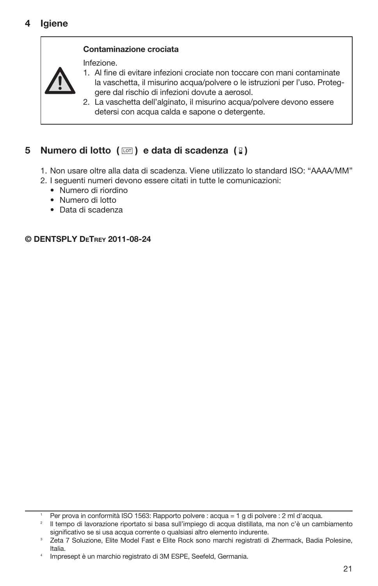#### Contaminazione crociata

Infezione.



1. Al fine di evitare infezioni crociate non toccare con mani contaminate la vaschetta, il misurino acqua/polvere o le istruzioni per l'uso. Proteggere dal rischio di infezioni dovute a aerosol.

2. La vaschetta dell'alginato, il misurino acqua/polvere devono essere detersi con acqua calda e sapone o detergente.

# 5 Numero di lotto  $(\Box)$  e data di scadenza  $(\Box)$

- 1. Non usare oltre alla data di scadenza. Viene utilizzato lo standard ISO: "AAAA/MM"
- 2. I seguenti numeri devono essere citati in tutte le comunicazioni:
	- Numero di riordino
	- Numero di lotto
	- Data di scadenza

© DENTSPLY DeTrey 2011-08-24

<sup>1</sup> Per prova in conformità ISO 1563: Rapporto polvere : acqua = 1 g di polvere : 2 ml d'acqua.

<sup>2</sup> Il tempo di lavorazione riportato si basa sull'impiego di acqua distillata, ma non c'è un cambiamento significativo se si usa acqua corrente o qualsiasi altro elemento indurente.

Zeta 7 Soluzione, Elite Model Fast e Elite Rock sono marchi registrati di Zhermack, Badia Polesine, Italia.

Impresept è un marchio registrato di 3M ESPE, Seefeld, Germania.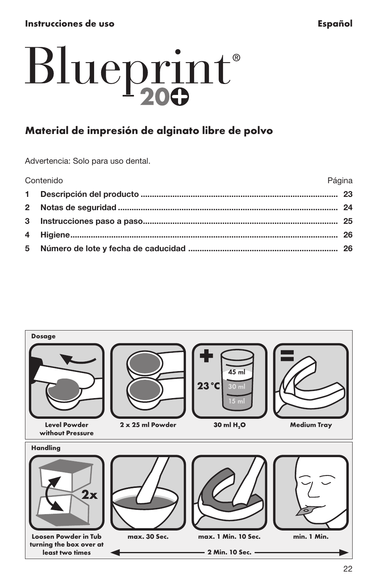# <span id="page-22-0"></span>Blueprint®

# Material de impresión de alginato libre de polvo

Advertencia: Solo para uso dental.

| Contenido | Página |
|-----------|--------|
|           |        |
|           |        |
|           |        |
|           |        |
|           |        |
|           |        |

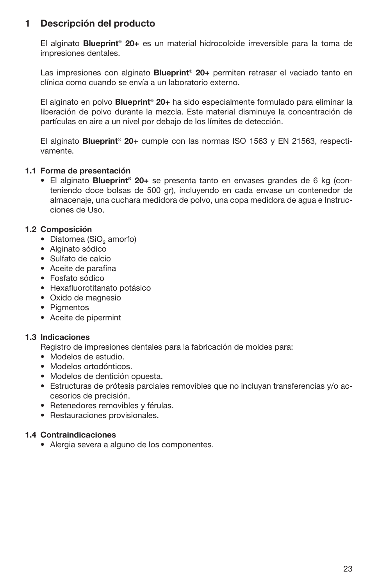# 1 Descripción del producto

El alginato Blueprint® 20+ es un material hidrocoloide irreversible para la toma de impresiones dentales.

Las impresiones con alginato **Blueprint<sup>®</sup> 20+** permiten retrasar el vaciado tanto en clínica como cuando se envía a un laboratorio externo.

El alginato en polvo **Blueprint<sup>®</sup> 20+** ha sido especialmente formulado para eliminar la liberación de polvo durante la mezcla. Este material disminuye la concentración de partículas en aire a un nivel por debajo de los límites de detección.

El alginato **Blueprint<sup>®</sup> 20+** cumple con las normas ISO 1563 v EN 21563, respectivamente.

#### 1.1 Forma de presentación

• El alginato Blueprint<sup>®</sup> 20+ se presenta tanto en envases grandes de 6 kg (conteniendo doce bolsas de 500 gr), incluyendo en cada envase un contenedor de almacenaje, una cuchara medidora de polvo, una copa medidora de agua e Instrucciones de Uso.

#### 1.2 Composición

- Diatomea (SiO<sub>2</sub> amorfo)
- Alginato sódico
- Sulfato de calcio
- Aceite de parafina
- Fosfato sódico
- Hexafluorotitanato potásico
- Oxido de magnesio
- Pigmentos
- Aceite de pipermint

#### 1.3 Indicaciones

Registro de impresiones dentales para la fabricación de moldes para:

- Modelos de estudio.
- Modelos ortodónticos.
- Modelos de dentición opuesta.
- Estructuras de prótesis parciales removibles que no incluyan transferencias y/o accesorios de precisión.
- Retenedores removibles y férulas.
- Restauraciones provisionales.

#### 1.4 Contraindicaciones

• Alergia severa a alguno de los componentes.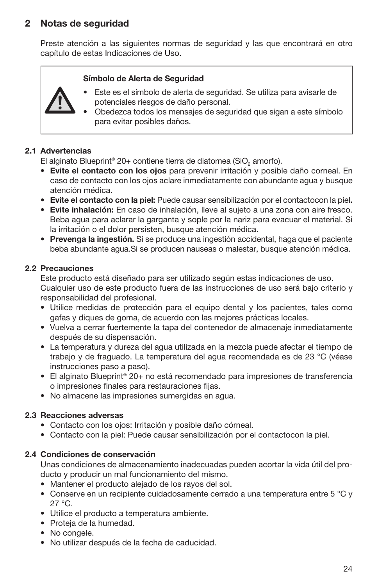# 2 Notas de seguridad

Preste atención a las siguientes normas de seguridad y las que encontrará en otro capítulo de estas Indicaciones de Uso.

#### Símbolo de Alerta de Seguridad



- Este es el símbolo de alerta de seguridad. Se utiliza para avisarle de potenciales riesgos de daño personal.
- Obedezca todos los mensajes de seguridad que sigan a este símbolo para evitar posibles daños.

#### 2.1 Advertencias

El alginato Blueprint® 20+ contiene tierra de diatomea (SiO, amorfo).

- Evite el contacto con los ojos para prevenir irritación y posible daño corneal. En caso de contacto con los ojos aclare inmediatamente con abundante agua y busque atención médica.
- • Evite el contacto con la piel: Puede causar sensibilización por el contactocon la piel.
- • Evite inhalación: En caso de inhalación, lleve al sujeto a una zona con aire fresco. Beba agua para aclarar la garganta y sople por la nariz para evacuar el material. Si la irritación o el dolor persisten, busque atención médica.
- • Prevenga la ingestión. Si se produce una ingestión accidental, haga que el paciente beba abundante agua.Si se producen nauseas o malestar, busque atención médica.

#### 2.2 Precauciones

Este producto está diseñado para ser utilizado según estas indicaciones de uso. Cualquier uso de este producto fuera de las instrucciones de uso será bajo criterio y responsabilidad del profesional.

- Utilice medidas de protección para el equipo dental y los pacientes, tales como gafas y diques de goma, de acuerdo con las mejores prácticas locales.
- Vuelva a cerrar fuertemente la tapa del contenedor de almacenaje inmediatamente después de su dispensación.
- La temperatura y dureza del agua utilizada en la mezcla puede afectar el tiempo de trabajo y de fraguado. La temperatura del agua recomendada es de 23 °C (véase instrucciones paso a paso).
- El alginato Blueprint® 20+ no está recomendado para impresiones de transferencia o impresiones finales para restauraciones fijas.
- No almacene las impresiones sumergidas en agua.

#### 2.3 Reacciones adversas

- Contacto con los ojos: Irritación y posible daño córneal.
- Contacto con la piel: Puede causar sensibilización por el contactocon la piel.

#### 2.4 Condiciones de conservación

Unas condiciones de almacenamiento inadecuadas pueden acortar la vida útil del producto y producir un mal funcionamiento del mismo.

- Mantener el producto alejado de los rayos del sol.
- Conserve en un recipiente cuidadosamente cerrado a una temperatura entre 5 °C y 27 °C.
- Utilice el producto a temperatura ambiente.
- Proteja de la humedad.
- No congele.
- No utilizar después de la fecha de caducidad.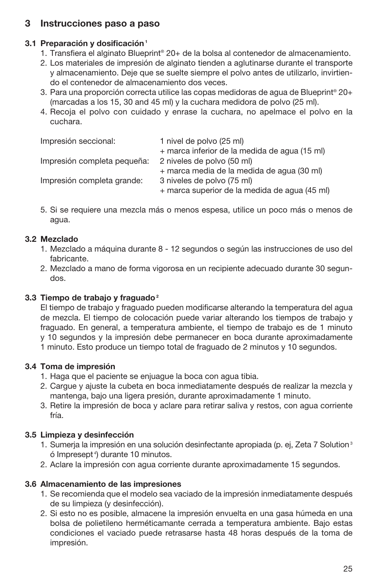# 3 Instrucciones paso a paso

# 3.1 Preparación y dosificación<sup>1</sup>

- 1. Transfiera el alginato Blueprint® 20+ de la bolsa al contenedor de almacenamiento.
- 2. Los materiales de impresión de alginato tienden a aglutinarse durante el transporte y almacenamiento. Deje que se suelte siempre el polvo antes de utilizarlo, invirtiendo el contenedor de almacenamiento dos veces.
- 3. Para una proporción correcta utilice las copas medidoras de agua de Blueprint® 20+ (marcadas a los 15, 30 and 45 ml) y la cuchara medidora de polvo (25 ml).
- 4. Recoja el polvo con cuidado y enrase la cuchara, no apelmace el polvo en la cuchara.

| Impresión seccional:        | 1 nivel de polvo (25 ml)                      |
|-----------------------------|-----------------------------------------------|
|                             | + marca inferior de la medida de agua (15 ml) |
| Impresión completa pequeña: | 2 niveles de polvo (50 ml)                    |
|                             | + marca media de la medida de agua (30 ml)    |
| Impresión completa grande:  | 3 niveles de polvo (75 ml)                    |
|                             | + marca superior de la medida de aqua (45 ml) |

5. Si se requiere una mezcla más o menos espesa, utilice un poco más o menos de agua.

# 3.2 Mezclado

- 1. Mezclado a máquina durante 8 12 segundos o según las instrucciones de uso del fabricante.
- 2. Mezclado a mano de forma vigorosa en un recipiente adecuado durante 30 segundos.

# 3.3 Tiempo de trabajo y fraguado<sup>2</sup>

El tiempo de trabajo y fraguado pueden modificarse alterando la temperatura del agua de mezcla. El tiempo de colocación puede variar alterando los tiempos de trabajo y fraguado. En general, a temperatura ambiente, el tiempo de trabajo es de 1 minuto y 10 segundos y la impresión debe permanecer en boca durante aproximadamente 1 minuto. Esto produce un tiempo total de fraguado de 2 minutos y 10 segundos.

# 3.4 Toma de impresión

- 1. Haga que el paciente se enjuague la boca con agua tibia.
- 2. Cargue y ajuste la cubeta en boca inmediatamente después de realizar la mezcla y mantenga, bajo una ligera presión, durante aproximadamente 1 minuto.
- 3. Retire la impresión de boca y aclare para retirar saliva y restos, con agua corriente fría.

# 3.5 Limpieza y desinfección

- 1. Sumeria la impresión en una solución desinfectante apropiada (p. ej, Zeta 7 Solution<sup>3</sup>) ó Impresept 4) durante 10 minutos.
- 2. Aclare la impresión con agua corriente durante aproximadamente 15 segundos.

# 3.6 Almacenamiento de las impresiones

- 1. Se recomienda que el modelo sea vaciado de la impresión inmediatamente después de su limpieza (y desinfección).
- 2. Si esto no es posible, almacene la impresión envuelta en una gasa húmeda en una bolsa de polietileno herméticamante cerrada a temperatura ambiente. Bajo estas condiciones el vaciado puede retrasarse hasta 48 horas después de la toma de impresión.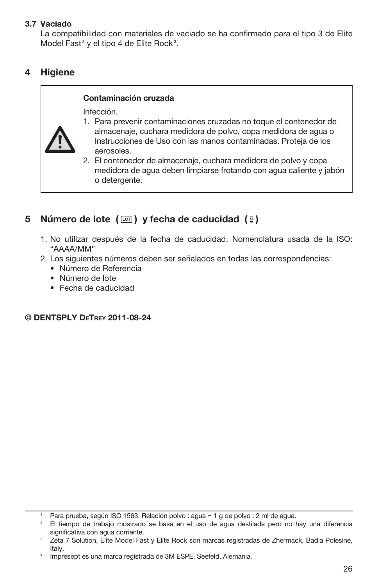#### 3.7 Vaciado

La compatibilidad con materiales de vaciado se ha confirmado para el tipo 3 de Elite Model Fast<sup>3</sup> y el tipo 4 de Elite Rock<sup>3</sup>.

# 4 Higiene

#### Contaminación cruzada

Infección.



- 1. Para prevenir contaminaciones cruzadas no toque el contenedor de almacenaje, cuchara medidora de polvo, copa medidora de agua o Instrucciones de Uso con las manos contaminadas. Proteja de los aerosoles.
- 2. El contenedor de almacenaje, cuchara medidora de polvo y copa medidora de agua deben limpiarse frotando con agua caliente y jabón o detergente.

# 5 Número de lote  $(\Box)$  y fecha de caducidad  $(\Box)$

- 1. No utilizar después de la fecha de caducidad. Nomenclatura usada de la ISO: "AAAA/MM"
- 2. Los siguientes números deben ser señalados en todas las correspondencias:
	- Número de Referencia
	- Número de lote
	- Fecha de caducidad

### © DENTSPLY DeTrey 2011-08-24

<sup>1</sup> Para prueba, según ISO 1563: Relación polvo : agua = 1 g de polvo : 2 ml de agua.

<sup>2</sup> El tiempo de trabajo mostrado se basa en el uso de agua destilada pero no hay una diferencia significativa con agua corriente.

Zeta 7 Solution, Elite Model Fast y Elite Rock son marcas registradas de Zhermack, Badia Polesine, Italy.

Impresept es una marca registrada de 3M ESPE, Seefeld, Alemania.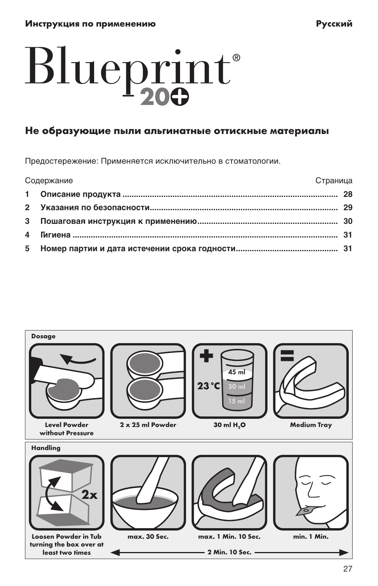# <span id="page-27-0"></span>Blueprint®

# Не образующие пыли альгинатные оттискные материалы

Предостережение: Применяется исключительно в стоматологии.

| Содержание |  | Страница |
|------------|--|----------|
|            |  |          |
|            |  |          |
|            |  |          |
|            |  |          |
|            |  |          |

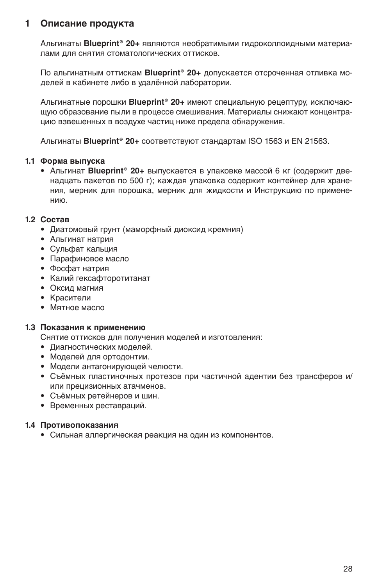#### **1 Описание продукта**

Альгинаты **Blueprint® 20+** являются необратимыми гидроколлоидными материалами для снятия стоматологических оттисков.

По альгинатным оттискам **Blueprint® 20+** допускается отсроченная отливка моделей в кабинете либо в удалённой лаборатории.

Альгинатные порошки **Blueprint® 20+** имеют специальную рецептуру, исключающую образование пыли в процессе смешивания. Материалы снижают концентрацию взвешенных в воздухе частиц ниже предела обнаружения.

Альгинаты **Blueprint® 20+** соответствуют стандартам ISO 1563 и EN 21563.

#### **1.1 Форма выпуска**

• Альгинат **Blueprint® 20+** выпускается в упаковке массой 6 кг (содержит двенадцать пакетов по 500 г); каждая упаковка содержит контейнер для хранения, мерник для порошка, мерник для жидкости и Инструкцию по применению.

#### **1.2 Состав**

- Диатомовый грунт (маморфный диоксид кремния)
- Альгинат натрия
- Сульфат кальция
- Парафиновое масло
- Фосфат натрия
- Калий гексафторотитанат
- Oксид магния
- Красители
- Мятное масло

#### **1.3 Показания к применению**

Снятие оттисков для получения моделей и изготовления:

- Диагностических моделей.
- Моделей для ортодонтии.
- Модели антагонирующей челюсти.
- Съёмных пластиночных протезов при частичной адентии без трансферов и/ или прецизионных атачменов.
- Съёмных ретейнеров и шин.
- Временных реставраций.

#### **1.4 Противопоказания**

• Сильная аллергическая реакция на один из компонентов.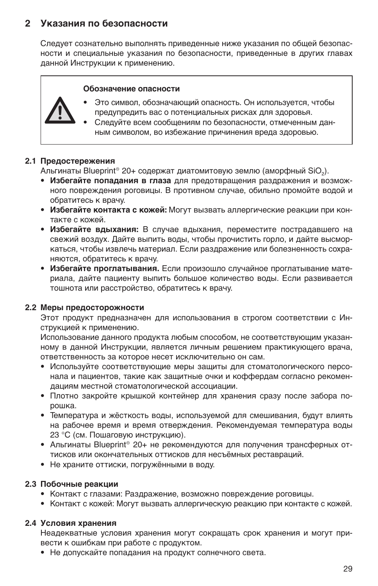# **2 указания по безопасности**

Следует сознательно выполнять приведенные ниже указания по общей безопасности и специальные указания по безопасности, приведенные в других главах данной Инструкции к применению.

#### **Обозначение опасности**



- Это символ, обозначающий опасность. Он используется, чтобы предупредить вас о потенциальных рисках для здоровья.
- Следуйте всем сообщениям по безопасности, отмеченным данным символом, во избежание причинения вреда здоровью.

#### **2.1 Предостережения**

Альгинаты Blueprint® 20+ содержат диатомитовую землю (аморфный SiO2).

- **Избегайте попадания в глаза** для предотвращения раздражения и возможного повреждения роговицы. В противном случае, обильно промойте водой и обратитесь к врачу.
- **Избегайте контакта с кожей:** Могут вызвать аллергические реакции при контакте с кожей.
- **• Избегайте вдыхания:** В случае вдыхания, переместите пострадавшего на свежий воздух. Дайте выпить воды, чтобы прочистить горло, и дайте высморкаться, чтобы извлечь материал. Если раздражение или болезненность сохраняются, обратитесь к врачу.
- **• Избегайте проглатывания.** Если произошло случайное проглатывание материала, дайте пациенту выпить большое количество воды. Если развивается тошнота или расстройство, обратитесь к врачу.

#### **2.2 Меры предосторожности**

Этот продукт предназначен для использования в строгом соответствии с Инструкцией к применению.

Использование данного продукта любым способом, не соответствующим указанному в данной Инструкции, является личным решением практикующего врача, ответственность за которое несет исключительно он сам.

- Используйте соответствующие меры защиты для стоматологического персонала и пациентов, такие как защитные очки и коффердам согласно рекомендациям местной стоматологической ассоциации.
- Плотно закройте крышкой контейнер для хранения сразу после забора порошка.
- Температура и жёсткость воды, используемой для смешивания, будут влиять на рабочее время и время отверждения. Рекомендуемая температура воды 23 °C (см. Пошаговую инструкцию).
- Альгинаты Blueprint® 20+ не рекомендуются для получения трансферных оттисков или окончательных оттисков для несъёмных реставраций.
- Не храните оттиски, погружёнными в воду.

#### **2.3 Побочные реакции**

- Контакт с глазами: Раздражение, возможно повреждение роговицы.
- Контакт с кожей: Могут вызвать аллергическую реакцию при контакте с кожей.

#### **2.4 Условия хранения**

Неадекватные условия хранения могут сокращать срок хранения и могут привести к ошибкам при работе с продуктом.

• Не допускайте попадания на продукт солнечного света.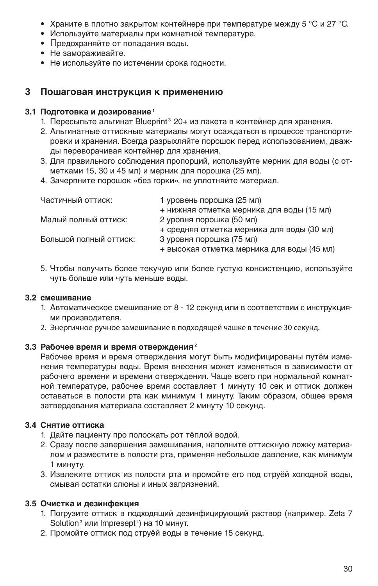- Храните в плотно закрытом контейнере при температуре между 5 °C и 27 °C.
- Используйте материалы при комнатной температуре.
- Предохраняйте от попадания воды.
- Не замораживайте.
- Не используйте по истечении срока годности.

#### **3 Пошаговая инструкция к применению**

### **3.1 Подготовка и дозирование**<sup>1</sup>

- 1. Пересыпьте альгинат Blueprint® 20+ из пакета в контейнер для хранения.
- 2. Альгинатные оттискные материалы могут осаждаться в процессе транспортировки и хранения. Всегда разрыхляйте порошок перед использованием, дважды переворачивая контейнер для хранения.
- 3. Для правильного соблюдения пропорций, используйте мерник для воды (с отметками 15, 30 и 45 мл) и мерник для порошка (25 мл).
- 4. Зачерпните порошок «без горки», не уплотняйте материал.

| Частичный оттиск:      | 1 уровень порошка (25 мл)                  |  |
|------------------------|--------------------------------------------|--|
|                        | + нижняя отметка мерника для воды (15 мл)  |  |
| Малый полный оттиск:   | 2 уровня порошка (50 мл)                   |  |
|                        | + средняя отметка мерника для воды (30 мл) |  |
| Большой полный оттиск: | 3 уровня порошка (75 мл)                   |  |
|                        | + высокая отметка мерника для воды (45 мл) |  |

5. Чтобы получить более текучую или более густую консистенцию, используйте чуть больше или чуть меньше воды.

#### **3.2 смешивание**

- 1. Автоматическое смешивание от 8 12 секунд или в соответствии с инструкциями производителя.
- 2. Энергичное ручное замешивание в подходящей чашке в течение 30 секунд.

#### **3.3 Рабочее время и время отверждения2**

Рабочее время и время отверждения могут быть модифицированы путём изменения температуры воды. Время внесения может изменяться в зависимости от рабочего времени и времени отверждения. Чаще всего при нормальной комнатной температуре, рабочее время составляет 1 минуту 10 сек и оттиск должен оставаться в полости рта как минимум 1 минуту. Таким образом, общее время затвердевания материала составляет 2 минуту 10 секунд.

#### **3.4 Снятие оттиска**

- 1. Дайте пациенту про полоскать рот тёплой водой.
- 2. Сразу после завершения замешивания, наполните оттискную ложку материалом и разместите в полости рта, применяя небольшое давление, как минимум 1 минуту.
- 3. Извлеките оттиск из полости рта и промойте его под струёй холодной воды, смывая остатки слюны и иных загрязнений.

#### **3.5 Очистка и дезинфекция**

- 1. Погрузите оттиск в подходящий дезинфицирующий раствор (например, Zeta 7 Solution<sup>3</sup> или Impresept<sup>4</sup>) на 10 минут.
- 2. Промойте оттиск под струёй воды в течение 15 секунд.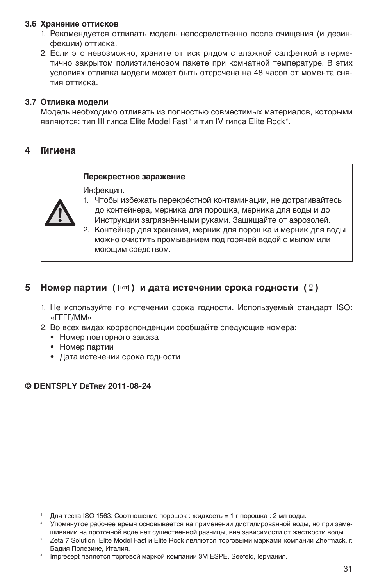#### **3.6 Хранение оттисков**

- 1. Рекомендуется отливать модель непосредственно после очищения (и дезинфекции) оттиска.
- 2. Если это невозможно, храните оттиск рядом с влажной салфеткой в герметично закрытом полиэтиленовом пакете при комнатной температуре. В этих условиях отливка модели может быть отсрочена на 48 часов от момента снятия оттиска.

#### **3.7 Отливка модели**

Модель необходимо отливать из полностью совместимых материалов, которыми являются: тип III гипса Elite Model Fast<sup>3</sup> и тип IV гипса Elite Rock<sup>3</sup>.

#### **4 Гигиена**

#### **Перекрестное заражение**

Инфекция.



- 1. Чтобы избежать перекрёстной контаминации, не дотрагивайтесь до контейнера, мерника для порошка, мерника для воды и до Инструкции загрязнёнными руками. защищайте от аэрозолей.
- 2. Контейнер для хранения, мерник для порошка и мерник для воды можно очистить промыванием под горячей водой с мылом или моющим средством.

#### **5** Номер партии ( **••** ) и дата истечении срока годности ( **?** )

- 1. Не используйте по истечении срока годности. Используемый стандарт ISO: «ГГГГ/ММ»
- 2. Во всех видах корреспонденции сообщайте следующие номера:
	- Номер повторного заказа
	- Номер партии
	- Дата истечении срока годности

#### © DENTSPLY DeTrey 2011-08-24

<sup>1</sup> Для теста ISO 1563: Соотношение порошок : жидкость = 1 г порошка : 2 мл воды.

<sup>2</sup> Упомянутое рабочее время основывается на применении дистилированной воды, но при замешивании на проточной воде нет существенной разницы, вне зависимости от жесткости воды.

Zeta 7 Solution, Elite Model Fast и Elite Rock являются торговыми марками компании Zhermack, г. Бадия Полезине, Италия.

Impresept является торговой маркой компании 3M ESPE, Seefeld, Германия.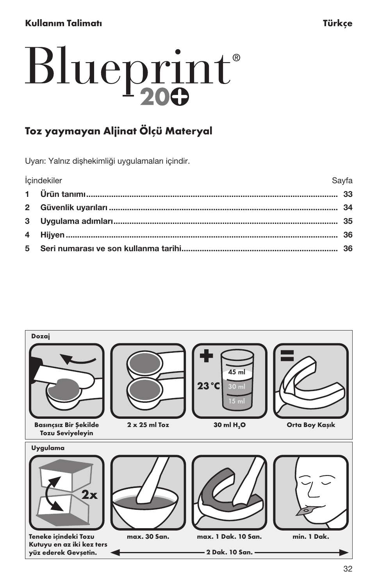# <span id="page-32-0"></span>Kullanım Talimatı Türkçe

# Blueprint®

# Toz yaymayan Aljinat Ölçü Materyal

Uyarı: Yalnız dişhekimliği uygulamaları içindir.

| İçindekiler | Savfa |
|-------------|-------|
|             |       |
|             |       |
|             |       |
|             |       |
|             |       |

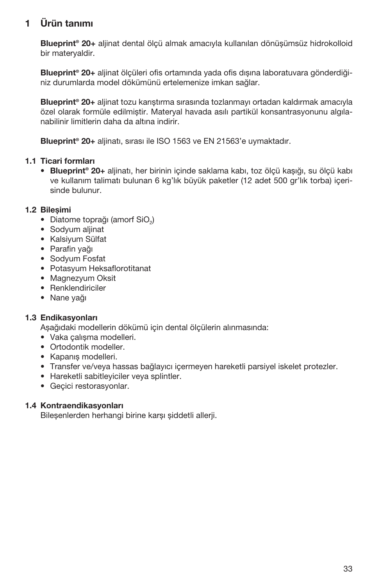# 1 Ürün tanımı

Blueprint® 20+ aljinat dental ölçü almak amacıyla kullanılan dönüşümsüz hidrokolloid bir materyaldir.

Blueprint<sup>®</sup> 20+ aljinat ölçüleri ofis ortamında yada ofis dışına laboratuvara gönderdiğiniz durumlarda model dökümünü ertelemenize imkan sağlar.

Blueprint® 20+ aljinat tozu karıştırma sırasında tozlanmayı ortadan kaldırmak amacıyla özel olarak formüle edilmiştir. Materyal havada asılı partikül konsantrasyonunu algılanabilinir limitlerin daha da altına indirir.

Blueprint<sup>®</sup> 20+ alijnatı, sırası ile ISO 1563 ve EN 21563'e uymaktadır.

#### 1.1 Ticari formları

• Blueprint® 20+ aljinatı, her birinin içinde saklama kabı, toz ölçü kaşığı, su ölçü kabı ve kullanım talimatı bulunan 6 kg'lık büyük paketler (12 adet 500 gr'lık torba) içerisinde bulunur.

#### 1.2 Bileşimi

- Diatome toprağı (amorf SiO.)
- Sodyum aljinat
- Kalsiyum Sülfat
- Parafin yağı
- Sodyum Fosfat
- Potasyum Heksaflorotitanat
- Magnezyum Oksit
- Renklendiriciler
- Nane yağı

#### 1.3 Endikasyonları

Aşağıdaki modellerin dökümü için dental ölçülerin alınmasında:

- Vaka çalışma modelleri.
- Ortodontik modeller.
- Kapanış modelleri.
- Transfer ve/veya hassas bağlayıcı içermeyen hareketli parsiyel iskelet protezler.
- Hareketli sabitleyiciler veya splintler.
- Geçici restorasyonlar.

#### 1.4 Kontraendikasyonları

Bileşenlerden herhangi birine karşı şiddetli allerji.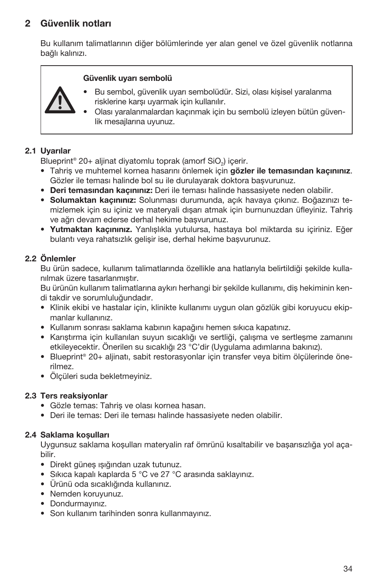# 2 Güvenlik notları

Bu kullanım talimatlarının diğer bölümlerinde yer alan genel ve özel güvenlik notlarına bağlı kalınızı.

#### Güvenlik uyarı sembolü



• Olası yaralanmalardan kaçınmak için bu sembolü izleyen bütün güvenlik mesajlarına uyunuz.

#### 2.1 Uyarılar

Blueprint® 20+ aliinat divatomlu toprak (amorf SiO<sub>2</sub>) icerir.

- Tahriş ve muhtemel kornea hasarını önlemek için gözler ile temasından kaçınınız. Gözler ile teması halinde bol su ile durulayarak doktora başvurunuz.
- Deri temasından kaçınınız: Deri ile teması halinde hassasiyete neden olabilir.
- Solumaktan kaçınınız: Solunması durumunda, açık havaya çıkınız. Boğazınızı temizlemek için su içiniz ve materyali dışarı atmak için burnunuzdan üfleyiniz. Tahriş ve ağrı devam ederse derhal hekime başvurunuz.
- • Yutmaktan kaçınınız. Yanlışlıkla yutulursa, hastaya bol miktarda su içiriniz. Eğer bulantı veya rahatsızlık gelişir ise, derhal hekime başvurunuz.

#### 2.2 Önlemler

Bu ürün sadece, kullanım talimatlarında özellikle ana hatlarıyla belirtildiği şekilde kullanılmak üzere tasarlanmıştır.

Bu ürünün kullanım talimatlarına aykırı herhangi bir şekilde kullanımı, diş hekiminin kendi takdir ve sorumluluğundadır.

- Klinik ekibi ve hastalar için, klinikte kullanımı uygun olan gözlük gibi koruyucu ekipmanlar kullanınız.
- Kullanım sonrası saklama kabının kapağını hemen sıkıca kapatınız.
- Karıştırma için kullanılan suyun sıcaklığı ve sertliği, çalışma ve sertleşme zamanını etkileyecektir. Önerilen su sıcaklığı 23 °C'dir (Uygulama adımlarına bakınız).
- Blueprint® 20+ aljinatı, sabit restorasyonlar için transfer veya bitim ölçülerinde önerilmez.
- Ölçüleri suda bekletmeyiniz.

#### 2.3 Ters reaksiyonlar

- Gözle temas: Tahriş ve olası kornea hasarı.
- Deri ile temas: Deri ile teması halinde hassasiyete neden olabilir.

#### 2.4 Saklama koşulları

Uygunsuz saklama koşulları materyalin raf ömrünü kısaltabilir ve başarısızlığa yol açabilir.

- Direkt güneş ışığından uzak tutunuz.
- Sıkıca kapalı kaplarda 5 °C ve 27 °C arasında saklayınız.
- Ürünü oda sıcaklığında kullanınız.
- Nemden koruyunuz.
- Dondurmayınız.
- Son kullanım tarihinden sonra kullanmayınız.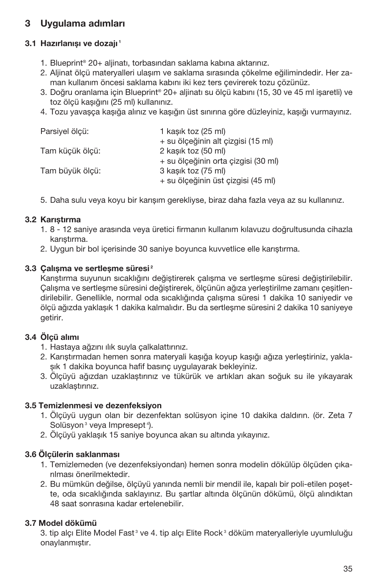# 3 Uygulama adımları

# 3.1 Hazırlanışı ve dozajı <sup>1</sup>

- 1. Blueprint® 20+ aljinatı, torbasından saklama kabına aktarınız.
- 2. Aljinat ölçü materyalleri ulaşım ve saklama sırasında çökelme eğilimindedir. Her zaman kullanım öncesi saklama kabını iki kez ters çevirerek tozu çözünüz.
- 3. Doğru oranlama için Blueprint® 20+ aljinatı su ölçü kabını (15, 30 ve 45 ml işaretli) ve toz ölçü kaşığını (25 ml) kullanınız.
- 4. Tozu yavaşça kaşığa alınız ve kaşığın üst sınırına göre düzleyiniz, kaşığı vurmayınız.

| Parsiyel ölçü:  | 1 kasık toz (25 ml)                 |
|-----------------|-------------------------------------|
|                 | + su ölçeğinin alt çizgisi (15 ml)  |
| Tam küçük ölçü: | 2 kasık toz (50 ml)                 |
|                 | + su ölçeğinin orta çizgisi (30 ml) |
| Tam büyük ölçü: | 3 kasık toz (75 ml)                 |
|                 | + su ölçeğinin üst çizgisi (45 ml)  |

5. Daha sulu veya koyu bir karışım gerekliyse, biraz daha fazla veya az su kullanınız.

# 3.2 Karıştırma

- 1. 8 12 saniye arasında veya üretici firmanın kullanım kılavuzu doğrultusunda cihazla karıştırma.
- 2. Uygun bir bol içerisinde 30 saniye boyunca kuvvetlice elle karıştırma.

# 3.3 Calısma ve sertlesme süresi<sup>2</sup>

Karıştırma suyunun sıcaklığını değiştirerek çalışma ve sertleşme süresi değiştirilebilir. Çalışma ve sertleşme süresini değiştirerek, ölçünün ağıza yerleştirilme zamanı çeşitlendirilebilir. Genellikle, normal oda sıcaklığında çalışma süresi 1 dakika 10 saniyedir ve ölçü ağızda yaklaşık 1 dakika kalmalıdır. Bu da sertleşme süresini 2 dakika 10 saniyeye getirir.

# 3.4 Ölçü alımı

- 1. Hastaya ağzını ılık suyla çalkalattırınız.
- 2. Karıştırmadan hemen sonra materyali kaşığa koyup kaşığı ağıza yerleştiriniz, yaklaşık 1 dakika boyunca hafif basınç uygulayarak bekleyiniz.
- 3. Ölçüyü ağızdan uzaklaştırınız ve tükürük ve artıkları akan soğuk su ile yıkayarak uzaklaştırınız.

# 3.5 Temizlenmesi ve dezenfeksiyon

- 1. Ölçüyü uygun olan bir dezenfektan solüsyon içine 10 dakika daldırın. (ör. Zeta 7 Solüsyon<sup>3</sup> veya Impresept<sup>4</sup>).
- 2. Ölçüyü yaklaşık 15 saniye boyunca akan su altında yıkayınız.

# 3.6 Ölçülerin saklanması

- 1. Temizlemeden (ve dezenfeksiyondan) hemen sonra modelin dökülüp ölçüden çıkarılması önerilmektedir.
- 2. Bu mümkün değilse, ölçüyü yanında nemli bir mendil ile, kapalı bir poli-etilen poşette, oda sıcaklığında saklayınız. Bu şartlar altında ölçünün dökümü, ölçü alındıktan 48 saat sonrasına kadar ertelenebilir.

# 3.7 Model dökümü

3. tip alçı Elite Model Fast<sup>3</sup> ve 4. tip alçı Elite Rock<sup>3</sup> döküm materyalleriyle uyumluluğu onaylanmıştır.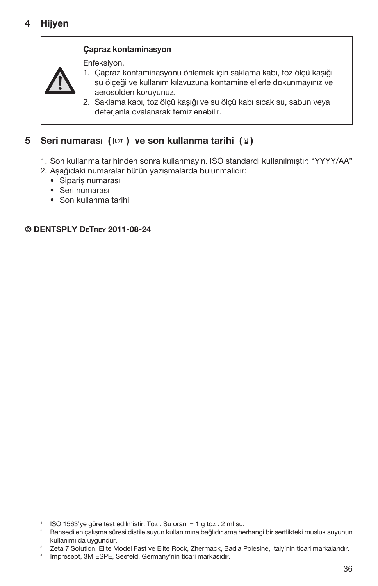

# Çapraz kontaminasyon

Enfeksiyon.

- 1. Çapraz kontaminasyonu önlemek için saklama kabı, toz ölçü kaşığı su ölçeği ve kullanım kılavuzuna kontamine ellerle dokunmayınız ve aerosolden koruyunuz.
- 2. Saklama kabı, toz ölçü kaşığı ve su ölçü kabı sıcak su, sabun veya deterjanla ovalanarak temizlenebilir.

# 5 Seri numarası  $(\Box)$  ve son kullanma tarihi  $(8)$

- 1. Son kullanma tarihinden sonra kullanmayın. ISO standardı kullanılmıştır: "YYYY/AA"
- 2. Aşağıdaki numaralar bütün yazışmalarda bulunmalıdır:
	- Sipariş numarası
	- Seri numarası
	- Son kullanma tarihi

© DENTSPLY DeTrey 2011-08-24

<sup>1</sup> ISO 1563'ye göre test edilmiştir: Toz : Su oranı = 1 g toz : 2 ml su.

<sup>2</sup> Bahsedilen çalışma süresi distile suyun kullanımına bağlıdır ama herhangi bir sertlikteki musluk suyunun kullanımı da uygundur.

<sup>&</sup>lt;sup>3</sup> Zeta 7 Solution, Elite Model Fast ve Elite Rock, Zhermack, Badia Polesine, Italy'nin ticari markalarıdır.

Impresept, 3M ESPE, Seefeld, Germany'nin ticari markasıdır.